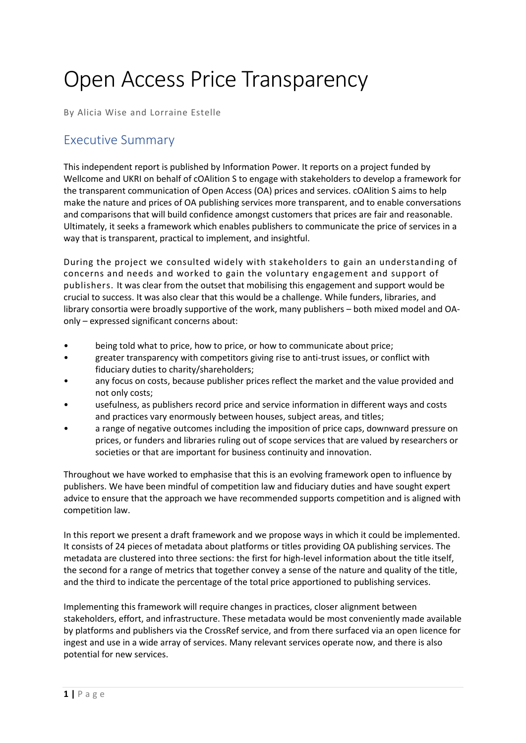# Open Access Price Transparency

By Alicia Wise and Lorraine Estelle

# Executive Summary

This independent report is published by Information Power. It reports on a project funded by Wellcome and UKRI on behalf of cOAlition S to engage with stakeholders to develop a framework for the transparent communication of Open Access (OA) prices and services. cOAlition S aims to help make the nature and prices of OA publishing services more transparent, and to enable conversations and comparisons that will build confidence amongst customers that prices are fair and reasonable. Ultimately, it seeks a framework which enables publishers to communicate the price of services in a way that is transparent, practical to implement, and insightful.

During the project we consulted widely with stakeholders to gain an understanding of concerns and needs and worked to gain the voluntary engagement and support of publishers. It was clear from the outset that mobilising this engagement and support would be crucial to success. It was also clear that this would be a challenge. While funders, libraries, and library consortia were broadly supportive of the work, many publishers – both mixed model and OAonly – expressed significant concerns about:

- being told what to price, how to price, or how to communicate about price;
- greater transparency with competitors giving rise to anti-trust issues, or conflict with fiduciary duties to charity/shareholders;
- any focus on costs, because publisher prices reflect the market and the value provided and not only costs;
- usefulness, as publishers record price and service information in different ways and costs and practices vary enormously between houses, subject areas, and titles;
- a range of negative outcomes including the imposition of price caps, downward pressure on prices, or funders and libraries ruling out of scope services that are valued by researchers or societies or that are important for business continuity and innovation.

Throughout we have worked to emphasise that this is an evolving framework open to influence by publishers. We have been mindful of competition law and fiduciary duties and have sought expert advice to ensure that the approach we have recommended supports competition and is aligned with competition law.

In this report we present a draft framework and we propose ways in which it could be implemented. It consists of 24 pieces of metadata about platforms or titles providing OA publishing services. The metadata are clustered into three sections: the first for high-level information about the title itself, the second for a range of metrics that together convey a sense of the nature and quality of the title, and the third to indicate the percentage of the total price apportioned to publishing services.

Implementing this framework will require changes in practices, closer alignment between stakeholders, effort, and infrastructure. These metadata would be most conveniently made available by platforms and publishers via the CrossRef service, and from there surfaced via an open licence for ingest and use in a wide array of services. Many relevant services operate now, and there is also potential for new services.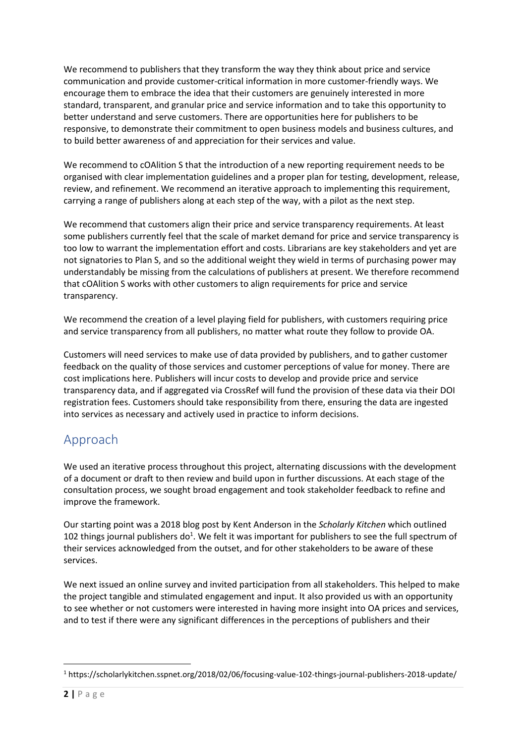We recommend to publishers that they transform the way they think about price and service communication and provide customer-critical information in more customer-friendly ways. We encourage them to embrace the idea that their customers are genuinely interested in more standard, transparent, and granular price and service information and to take this opportunity to better understand and serve customers. There are opportunities here for publishers to be responsive, to demonstrate their commitment to open business models and business cultures, and to build better awareness of and appreciation for their services and value.

We recommend to cOAlition S that the introduction of a new reporting requirement needs to be organised with clear implementation guidelines and a proper plan for testing, development, release, review, and refinement. We recommend an iterative approach to implementing this requirement, carrying a range of publishers along at each step of the way, with a pilot as the next step.

We recommend that customers align their price and service transparency requirements. At least some publishers currently feel that the scale of market demand for price and service transparency is too low to warrant the implementation effort and costs. Librarians are key stakeholders and yet are not signatories to Plan S, and so the additional weight they wield in terms of purchasing power may understandably be missing from the calculations of publishers at present. We therefore recommend that cOAlition S works with other customers to align requirements for price and service transparency.

We recommend the creation of a level playing field for publishers, with customers requiring price and service transparency from all publishers, no matter what route they follow to provide OA.

Customers will need services to make use of data provided by publishers, and to gather customer feedback on the quality of those services and customer perceptions of value for money. There are cost implications here. Publishers will incur costs to develop and provide price and service transparency data, and if aggregated via CrossRef will fund the provision of these data via their DOI registration fees. Customers should take responsibility from there, ensuring the data are ingested into services as necessary and actively used in practice to inform decisions.

# Approach

We used an iterative process throughout this project, alternating discussions with the development of a document or draft to then review and build upon in further discussions. At each stage of the consultation process, we sought broad engagement and took stakeholder feedback to refine and improve the framework.

Our starting point was a 2018 blog post by Kent Anderson in the *Scholarly Kitchen* which outlined 102 things journal publishers do<sup>1</sup>. We felt it was important for publishers to see the full spectrum of their services acknowledged from the outset, and for other stakeholders to be aware of these services.

We next issued an online survey and invited participation from all stakeholders. This helped to make the project tangible and stimulated engagement and input. It also provided us with an opportunity to see whether or not customers were interested in having more insight into OA prices and services, and to test if there were any significant differences in the perceptions of publishers and their

<sup>1</sup> https://scholarlykitchen.sspnet.org/2018/02/06/focusing-value-102-things-journal-publishers-2018-update/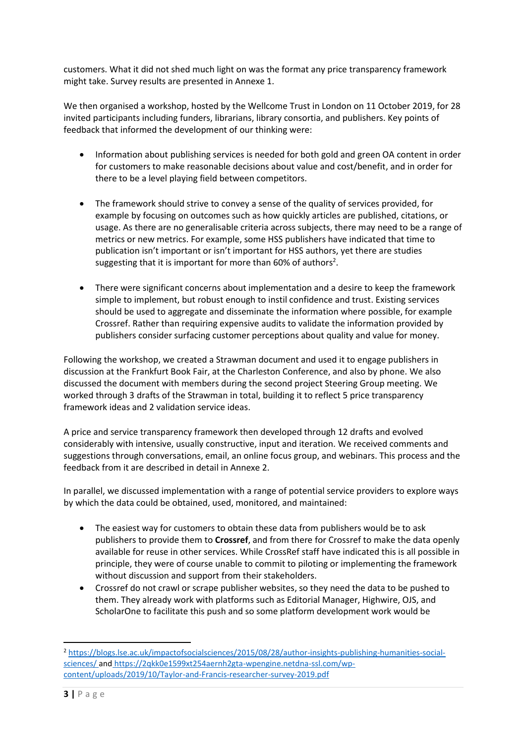customers. What it did not shed much light on was the format any price transparency framework might take. Survey results are presented in Annexe 1.

We then organised a workshop, hosted by the Wellcome Trust in London on 11 October 2019, for 28 invited participants including funders, librarians, library consortia, and publishers. Key points of feedback that informed the development of our thinking were:

- Information about publishing services is needed for both gold and green OA content in order for customers to make reasonable decisions about value and cost/benefit, and in order for there to be a level playing field between competitors.
- The framework should strive to convey a sense of the quality of services provided, for example by focusing on outcomes such as how quickly articles are published, citations, or usage. As there are no generalisable criteria across subjects, there may need to be a range of metrics or new metrics. For example, some HSS publishers have indicated that time to publication isn't important or isn't important for HSS authors, yet there are studies suggesting that it is important for more than 60% of authors<sup>2</sup>.
- There were significant concerns about implementation and a desire to keep the framework simple to implement, but robust enough to instil confidence and trust. Existing services should be used to aggregate and disseminate the information where possible, for example Crossref. Rather than requiring expensive audits to validate the information provided by publishers consider surfacing customer perceptions about quality and value for money.

Following the workshop, we created a Strawman document and used it to engage publishers in discussion at the Frankfurt Book Fair, at the Charleston Conference, and also by phone. We also discussed the document with members during the second project Steering Group meeting. We worked through 3 drafts of the Strawman in total, building it to reflect 5 price transparency framework ideas and 2 validation service ideas.

A price and service transparency framework then developed through 12 drafts and evolved considerably with intensive, usually constructive, input and iteration. We received comments and suggestions through conversations, email, an online focus group, and webinars. This process and the feedback from it are described in detail in Annexe 2.

In parallel, we discussed implementation with a range of potential service providers to explore ways by which the data could be obtained, used, monitored, and maintained:

- The easiest way for customers to obtain these data from publishers would be to ask publishers to provide them to **Crossref**, and from there for Crossref to make the data openly available for reuse in other services. While CrossRef staff have indicated this is all possible in principle, they were of course unable to commit to piloting or implementing the framework without discussion and support from their stakeholders.
- Crossref do not crawl or scrape publisher websites, so they need the data to be pushed to them. They already work with platforms such as Editorial Manager, Highwire, OJS, and ScholarOne to facilitate this push and so some platform development work would be

<sup>2</sup> [https://blogs.lse.ac.uk/impactofsocialsciences/2015/08/28/author-insights-publishing-humanities-social](https://blogs.lse.ac.uk/impactofsocialsciences/2015/08/28/author-insights-publishing-humanities-social-sciences/)[sciences/](https://blogs.lse.ac.uk/impactofsocialsciences/2015/08/28/author-insights-publishing-humanities-social-sciences/) and [https://2qkk0e1599xt254aernh2gta-wpengine.netdna-ssl.com/wp](https://2qkk0e1599xt254aernh2gta-wpengine.netdna-ssl.com/wp-content/uploads/2019/10/Taylor-and-Francis-researcher-survey-2019.pdf)[content/uploads/2019/10/Taylor-and-Francis-researcher-survey-2019.pdf](https://2qkk0e1599xt254aernh2gta-wpengine.netdna-ssl.com/wp-content/uploads/2019/10/Taylor-and-Francis-researcher-survey-2019.pdf)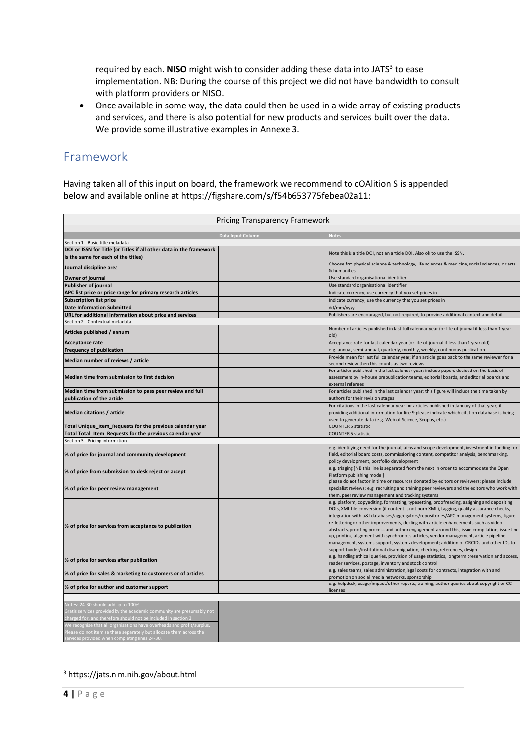required by each. NISO might wish to consider adding these data into JATS<sup>3</sup> to ease implementation. NB: During the course of this project we did not have bandwidth to consult with platform providers or NISO.

• Once available in some way, the data could then be used in a wide array of existing products and services, and there is also potential for new products and services built over the data. We provide some illustrative examples in Annexe 3.

# Framework

Having taken all of this input on board, the framework we recommend to cOAlition S is appended below and available online at [https://figshare.com/s/f54b653775febea02a11:](https://figshare.com/s/f54b653775febea02a11)

| <b>Pricing Transparency Framework</b>                                                                      |                   |                                                                                                                                                                                                                                                                                     |
|------------------------------------------------------------------------------------------------------------|-------------------|-------------------------------------------------------------------------------------------------------------------------------------------------------------------------------------------------------------------------------------------------------------------------------------|
|                                                                                                            | Data Input Column | <b>Notes</b>                                                                                                                                                                                                                                                                        |
| Section 1 - Basic title metadata                                                                           |                   |                                                                                                                                                                                                                                                                                     |
| DOI or ISSN for Title (or Titles if all other data in the framework<br>is the same for each of the titles) |                   | Note this is a title DOI, not an article DOI. Also ok to use the ISSN.                                                                                                                                                                                                              |
| Journal discipline area                                                                                    |                   | Choose frm physical science & technology, life sciences & medicine, social sciences, or arts<br>& humanities                                                                                                                                                                        |
| Owner of journal                                                                                           |                   | Use standard organisational identifier                                                                                                                                                                                                                                              |
| <b>Publisher of journal</b>                                                                                |                   | Use standard organisational identifier                                                                                                                                                                                                                                              |
| APC list price or price range for primary research articles                                                |                   | Indicate currency; use currency that you set prices in                                                                                                                                                                                                                              |
| <b>Subscription list price</b>                                                                             |                   | Indicate currency; use the currency that you set prices in                                                                                                                                                                                                                          |
| <b>Date Information Submitted</b>                                                                          |                   | dd/mm/yyyy                                                                                                                                                                                                                                                                          |
| URL for additional information about price and services                                                    |                   | Publishers are encouraged, but not required, to provide additional context and detail.                                                                                                                                                                                              |
| Section 2 - Contextual metadata                                                                            |                   |                                                                                                                                                                                                                                                                                     |
| Articles published / annum                                                                                 |                   | Number of articles published in last full calendar year (or life of journal if less than 1 year<br>(blo                                                                                                                                                                             |
| Acceptance rate                                                                                            |                   | Acceptance rate for last calendar year (or life of journal if less than 1 year old)                                                                                                                                                                                                 |
| <b>Frequency of publication</b>                                                                            |                   | e.g. annual, semi-annual, quarterly, monthly, weekly, continuous publication                                                                                                                                                                                                        |
|                                                                                                            |                   | Provide mean for last full calendar year; if an article goes back to the same reviewer for a                                                                                                                                                                                        |
| Median number of reviews / article                                                                         |                   | second review then this counts as two reviews                                                                                                                                                                                                                                       |
|                                                                                                            |                   | For articles published in the last calendar year; include papers decided on the basis of                                                                                                                                                                                            |
| Median time from submission to first decision                                                              |                   | assessment by in-house prepublication teams, editorial boards, and editorial boards and                                                                                                                                                                                             |
|                                                                                                            |                   | external referees                                                                                                                                                                                                                                                                   |
| Median time from submission to pass peer review and full<br>publication of the article                     |                   | For articles published in the last calendar year; this figure will include the time taken by<br>authors for their revision stages                                                                                                                                                   |
|                                                                                                            |                   | For citations in the last calendar year for articles published in January of that year; if                                                                                                                                                                                          |
| Median citations / article                                                                                 |                   | providing additional information for line 9 please indicate which citation database is being                                                                                                                                                                                        |
|                                                                                                            |                   | used to generate data (e.g. Web of Science, Scopus, etc.)                                                                                                                                                                                                                           |
| Total Unique_Item_Requests for the previous calendar year                                                  |                   | <b>COUNTER 5 statistic</b>                                                                                                                                                                                                                                                          |
| Total Total_Item_Requests for the previous calendar year                                                   |                   | <b>COUNTER 5 statistic</b>                                                                                                                                                                                                                                                          |
| Section 3 - Pricing information                                                                            |                   |                                                                                                                                                                                                                                                                                     |
| % of price for journal and community development                                                           |                   | e.g. identifying need for the journal, aims and scope development, investment in funding for<br>field, editorial board costs, commissioning content, competitor analysis, benchmarking,<br>policy development, portfolio development                                                |
| % of price from submission to desk reject or accept                                                        |                   | e.g. triaging [NB this line is separated from the next in order to accommodate the Open<br>Platform publishing model]                                                                                                                                                               |
|                                                                                                            |                   | please do not factor in time or resources donated by editors or reviewers; please include                                                                                                                                                                                           |
| % of price for peer review management                                                                      |                   | specialist reviews; e.g. recruiting and training peer reviewers and the editors who work with                                                                                                                                                                                       |
|                                                                                                            |                   | them, peer review management and tracking systems                                                                                                                                                                                                                                   |
|                                                                                                            |                   | e.g. platform, copyediting, formatting, typesetting, proofreading, assigning and depositing<br>DOIs, XML file conversion (if content is not born XML), tagging, quality assurance checks,<br>integration with a&I databases/aggregators/repositories/APC management systems, figure |
|                                                                                                            |                   | re-lettering or other improvements, dealing with article enhancements such as video                                                                                                                                                                                                 |
| % of price for services from acceptance to publication                                                     |                   | abstracts, proofing process and author engagement around this, issue compilation, issue line                                                                                                                                                                                        |
|                                                                                                            |                   | up, printing, alignment with synchronous articles, vendor management, article pipeline                                                                                                                                                                                              |
|                                                                                                            |                   | management, systems support, systems development; addition of ORCIDs and other IDs to                                                                                                                                                                                               |
|                                                                                                            |                   | support funder/institutional disambiguation, checking references, design                                                                                                                                                                                                            |
| % of price for services after publication                                                                  |                   | e.g. handling ethical queries, provision of usage statistics, longterm preservation and access,                                                                                                                                                                                     |
|                                                                                                            |                   | reader services, postage, inventory and stock control                                                                                                                                                                                                                               |
| % of price for sales & marketing to customers or of articles                                               |                   | e.g. sales teams, sales administration, legal costs for contracts, integration with and<br>promotion on social media networks, sponsorship                                                                                                                                          |
| % of price for author and customer support                                                                 |                   | e.g. helpdesk, usage/impact/other reports, training, author queries about copyright or CC<br>licenses                                                                                                                                                                               |
|                                                                                                            |                   |                                                                                                                                                                                                                                                                                     |
| Votes: 24-30 should add up to 1009                                                                         |                   |                                                                                                                                                                                                                                                                                     |
| Gratis services provided by the academic community are presumably not                                      |                   |                                                                                                                                                                                                                                                                                     |
| harged for, and therefore should not be included in section 3                                              |                   |                                                                                                                                                                                                                                                                                     |
| We recognise that all organisations have overheads and profit/surplus.                                     |                   |                                                                                                                                                                                                                                                                                     |
| Please do not itemise these separately but allocate them across the                                        |                   |                                                                                                                                                                                                                                                                                     |
| when completing lines 24-30.                                                                               |                   |                                                                                                                                                                                                                                                                                     |

<sup>3</sup> https://jats.nlm.nih.gov/about.html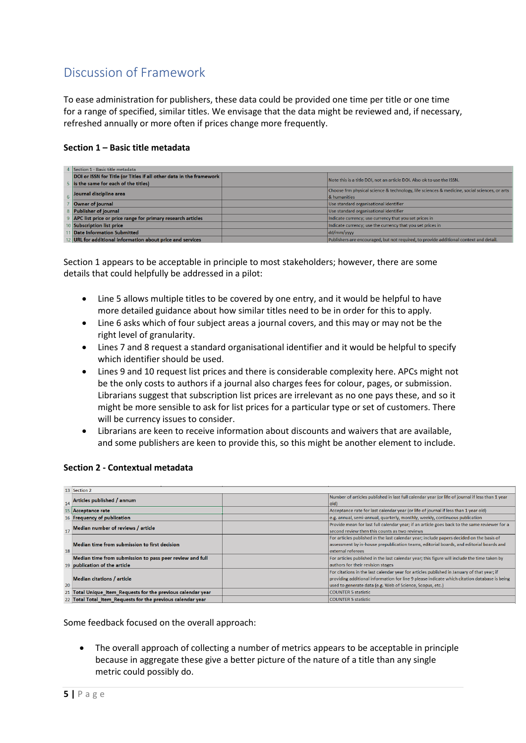# Discussion of Framework

To ease administration for publishers, these data could be provided one time per title or one time for a range of specified, similar titles. We envisage that the data might be reviewed and, if necessary, refreshed annually or more often if prices change more frequently.

## **Section 1 – Basic title metadata**

|  | 4 Section 1 - Basic title metadata                                  |                                                                                              |
|--|---------------------------------------------------------------------|----------------------------------------------------------------------------------------------|
|  | DOI or ISSN for Title (or Titles if all other data in the framework | Note this is a title DOI, not an article DOI. Also ok to use the ISSN.                       |
|  | is the same for each of the titles)                                 |                                                                                              |
|  | Journal discipline area                                             | Choose frm physical science & technology, life sciences & medicine, social sciences, or arts |
|  |                                                                     | & humanities                                                                                 |
|  | Owner of journal                                                    | Use standard organisational identifier                                                       |
|  | 8 Publisher of journal                                              | Use standard organisational identifier                                                       |
|  | APC list price or price range for primary research articles         | Indicate currency; use currency that you set prices in                                       |
|  | 10 Subscription list price                                          | Indicate currency; use the currency that you set prices in                                   |
|  | 11 Date Information Submitted                                       | dd/mm/yyyy                                                                                   |
|  | 12 URL for additional information about price and services          | Publishers are encouraged, but not required, to provide additional context and detail.       |

Section 1 appears to be acceptable in principle to most stakeholders; however, there are some details that could helpfully be addressed in a pilot:

- Line 5 allows multiple titles to be covered by one entry, and it would be helpful to have more detailed guidance about how similar titles need to be in order for this to apply.
- Line 6 asks which of four subject areas a journal covers, and this may or may not be the right level of granularity.
- Lines 7 and 8 request a standard organisational identifier and it would be helpful to specify which identifier should be used.
- Lines 9 and 10 request list prices and there is considerable complexity here. APCs might not be the only costs to authors if a journal also charges fees for colour, pages, or submission. Librarians suggest that subscription list prices are irrelevant as no one pays these, and so it might be more sensible to ask for list prices for a particular type or set of customers. There will be currency issues to consider.
- Librarians are keen to receive information about discounts and waivers that are available, and some publishers are keen to provide this, so this might be another element to include.

| 13 Section 2                                                 |                                                                                                 |
|--------------------------------------------------------------|-------------------------------------------------------------------------------------------------|
| Articles published / annum                                   | Number of articles published in last full calendar year (or life of journal if less than 1 year |
| 14                                                           | (blol                                                                                           |
| 15 Acceptance rate                                           | Acceptance rate for last calendar year (or life of journal if less than 1 year old)             |
| 16 Frequency of publication                                  | e.g. annual, semi-annual, quarterly, monthly, weekly, continuous publication                    |
| Median number of reviews / article                           | Provide mean for last full calendar year; if an article goes back to the same reviewer for a    |
| 17                                                           | second review then this counts as two reviews                                                   |
|                                                              | For articles published in the last calendar year; include papers decided on the basis of        |
| Median time from submission to first decision                | assessment by in-house prepublication teams, editorial boards, and editorial boards and         |
| 18                                                           | lexternal referees                                                                              |
| Median time from submission to pass peer review and full     | For articles published in the last calendar year; this figure will include the time taken by    |
| 19 publication of the article                                | authors for their revision stages                                                               |
|                                                              | For citations in the last calendar year for articles published in January of that year; if      |
| Median citations / article                                   | providing additional information for line 9 please indicate which citation database is being    |
| 20                                                           | used to generate data (e.g. Web of Science, Scopus, etc.)                                       |
| 21 Total Unique Item Requests for the previous calendar year | <b>COUNTER 5 statistic</b>                                                                      |
| 22 Total Total Item Requests for the previous calendar year  | <b>COUNTER 5 statistic</b>                                                                      |

#### **Section 2 - Contextual metadata**

Some feedback focused on the overall approach:

• The overall approach of collecting a number of metrics appears to be acceptable in principle because in aggregate these give a better picture of the nature of a title than any single metric could possibly do.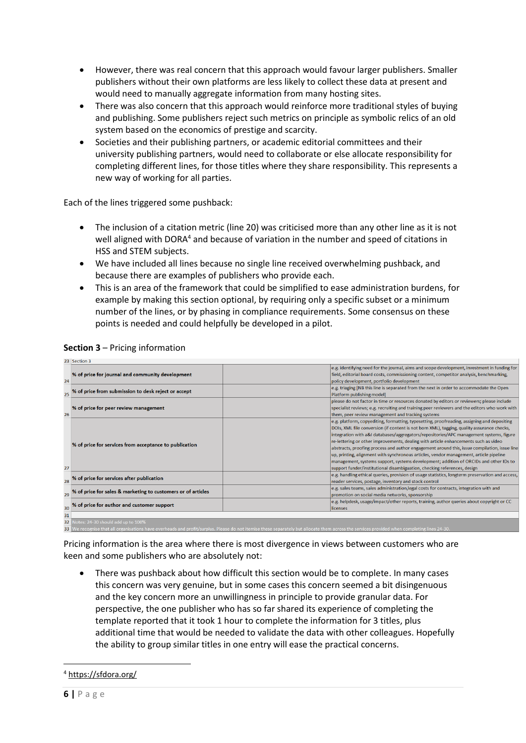- However, there was real concern that this approach would favour larger publishers. Smaller publishers without their own platforms are less likely to collect these data at present and would need to manually aggregate information from many hosting sites.
- There was also concern that this approach would reinforce more traditional styles of buying and publishing. Some publishers reject such metrics on principle as symbolic relics of an old system based on the economics of prestige and scarcity.
- Societies and their publishing partners, or academic editorial committees and their university publishing partners, would need to collaborate or else allocate responsibility for completing different lines, for those titles where they share responsibility. This represents a new way of working for all parties.

Each of the lines triggered some pushback:

- The inclusion of a citation metric (line 20) was criticised more than any other line as it is not well aligned with DORA<sup>4</sup> and because of variation in the number and speed of citations in HSS and STEM subjects.
- We have included all lines because no single line received overwhelming pushback, and because there are examples of publishers who provide each.
- This is an area of the framework that could be simplified to ease administration burdens, for example by making this section optional, by requiring only a specific subset or a minimum number of the lines, or by phasing in compliance requirements. Some consensus on these points is needed and could helpfully be developed in a pilot.

|                                                                                                                                                                                              | 23 Section 3                                                 |                                                                                                 |  |
|----------------------------------------------------------------------------------------------------------------------------------------------------------------------------------------------|--------------------------------------------------------------|-------------------------------------------------------------------------------------------------|--|
|                                                                                                                                                                                              |                                                              | e.g. identifying need for the journal, aims and scope development, investment in funding for    |  |
|                                                                                                                                                                                              | % of price for journal and community development             | field, editorial board costs, commissioning content, competitor analysis, benchmarking,         |  |
| 24                                                                                                                                                                                           |                                                              | policy development, portfolio development                                                       |  |
| 25                                                                                                                                                                                           | % of price from submission to desk reject or accept          | e.g. triaging [NB this line is separated from the next in order to accommodate the Open         |  |
|                                                                                                                                                                                              |                                                              | Platform publishing model]                                                                      |  |
|                                                                                                                                                                                              | % of price for peer review management                        | please do not factor in time or resources donated by editors or reviewers; please include       |  |
| 26                                                                                                                                                                                           |                                                              | specialist reviews; e.g. recruiting and training peer reviewers and the editors who work with   |  |
|                                                                                                                                                                                              |                                                              | them, peer review management and tracking systems                                               |  |
|                                                                                                                                                                                              | % of price for services from acceptance to publication       | e.g. platform, copyediting, formatting, typesetting, proofreading, assigning and depositing     |  |
|                                                                                                                                                                                              |                                                              | DOIs, XML file conversion (if content is not born XML), tagging, quality assurance checks,      |  |
|                                                                                                                                                                                              |                                                              | integration with a&I databases/aggregators/repositories/APC management systems, figure          |  |
|                                                                                                                                                                                              |                                                              | re-lettering or other improvements, dealing with article enhancements such as video             |  |
|                                                                                                                                                                                              |                                                              | abstracts, proofing process and author engagement around this, issue compilation, issue line    |  |
|                                                                                                                                                                                              |                                                              | up, printing, alignment with synchronous articles, vendor management, article pipeline          |  |
|                                                                                                                                                                                              |                                                              | management, systems support, systems development; addition of ORCIDs and other IDs to           |  |
| 27                                                                                                                                                                                           |                                                              | support funder/institutional disambiguation, checking references, design                        |  |
|                                                                                                                                                                                              | % of price for services after publication                    | e.g. handling ethical queries, provision of usage statistics, longterm preservation and access, |  |
| 28                                                                                                                                                                                           |                                                              | reader services, postage, inventory and stock control                                           |  |
| 29                                                                                                                                                                                           | % of price for sales & marketing to customers or of articles | e.g. sales teams, sales administration, legal costs for contracts, integration with and         |  |
|                                                                                                                                                                                              |                                                              | promotion on social media networks, sponsorship                                                 |  |
| 30                                                                                                                                                                                           | % of price for author and customer support                   | e.g. helpdesk, usage/impact/other reports, training, author queries about copyright or CC       |  |
|                                                                                                                                                                                              |                                                              | licenses                                                                                        |  |
| 31                                                                                                                                                                                           |                                                              |                                                                                                 |  |
| 32                                                                                                                                                                                           | Notes: 24-30 should add up to 100%                           |                                                                                                 |  |
| 33 We recognise that all organisations have overheads and profit/surplus. Please do not itemise these separately but allocate them across the services provided when completing lines 24-30. |                                                              |                                                                                                 |  |

## **Section 3** – Pricing information

Pricing information is the area where there is most divergence in views between customers who are keen and some publishers who are absolutely not:

• There was pushback about how difficult this section would be to complete. In many cases this concern was very genuine, but in some cases this concern seemed a bit disingenuous and the key concern more an unwillingness in principle to provide granular data. For perspective, the one publisher who has so far shared its experience of completing the template reported that it took 1 hour to complete the information for 3 titles, plus additional time that would be needed to validate the data with other colleagues. Hopefully the ability to group similar titles in one entry will ease the practical concerns.

<sup>4</sup> https://sfdora.org/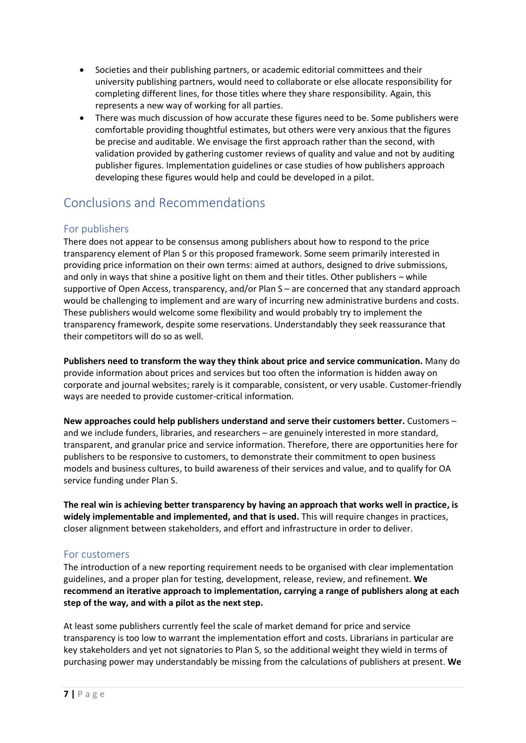- Societies and their publishing partners, or academic editorial committees and their university publishing partners, would need to collaborate or else allocate responsibility for completing different lines, for those titles where they share responsibility. Again, this represents a new way of working for all parties.
- There was much discussion of how accurate these figures need to be. Some publishers were comfortable providing thoughtful estimates, but others were very anxious that the figures be precise and auditable. We envisage the first approach rather than the second, with validation provided by gathering customer reviews of quality and value and not by auditing publisher figures. Implementation guidelines or case studies of how publishers approach developing these figures would help and could be developed in a pilot.

## Conclusions and Recommendations

## For publishers

There does not appear to be consensus among publishers about how to respond to the price transparency element of Plan S or this proposed framework. Some seem primarily interested in providing price information on their own terms: aimed at authors, designed to drive submissions, and only in ways that shine a positive light on them and their titles. Other publishers – while supportive of Open Access, transparency, and/or Plan S – are concerned that any standard approach would be challenging to implement and are wary of incurring new administrative burdens and costs. These publishers would welcome some flexibility and would probably try to implement the transparency framework, despite some reservations. Understandably they seek reassurance that their competitors will do so as well.

**Publishers need to transform the way they think about price and service communication.** Many do provide information about prices and services but too often the information is hidden away on corporate and journal websites; rarely is it comparable, consistent, or very usable. Customer-friendly ways are needed to provide customer-critical information.

**New approaches could help publishers understand and serve their customers better.** Customers – and we include funders, libraries, and researchers – are genuinely interested in more standard, transparent, and granular price and service information. Therefore, there are opportunities here for publishers to be responsive to customers, to demonstrate their commitment to open business models and business cultures, to build awareness of their services and value, and to qualify for OA service funding under Plan S.

**The real win is achieving better transparency by having an approach that works well in practice, is widely implementable and implemented, and that is used.** This will require changes in practices, closer alignment between stakeholders, and effort and infrastructure in order to deliver.

## For customers

The introduction of a new reporting requirement needs to be organised with clear implementation guidelines, and a proper plan for testing, development, release, review, and refinement. **We recommend an iterative approach to implementation, carrying a range of publishers along at each step of the way, and with a pilot as the next step.**

At least some publishers currently feel the scale of market demand for price and service transparency is too low to warrant the implementation effort and costs. Librarians in particular are key stakeholders and yet not signatories to Plan S, so the additional weight they wield in terms of purchasing power may understandably be missing from the calculations of publishers at present. **We**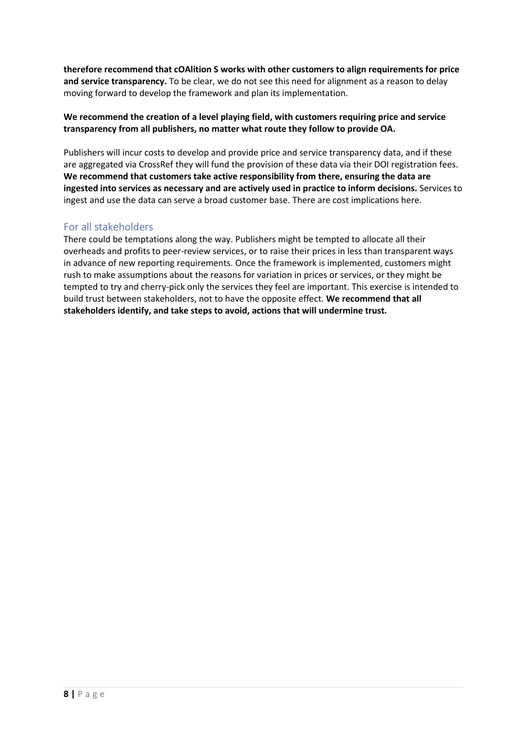**therefore recommend that cOAlition S works with other customers to align requirements for price**  and service transparency. To be clear, we do not see this need for alignment as a reason to delay moving forward to develop the framework and plan its implementation.

**We recommend the creation of a level playing field, with customers requiring price and service transparency from all publishers, no matter what route they follow to provide OA.** 

Publishers will incur costs to develop and provide price and service transparency data, and if these are aggregated via CrossRef they will fund the provision of these data via their DOI registration fees. **We recommend that customers take active responsibility from there, ensuring the data are ingested into services as necessary and are actively used in practice to inform decisions.** Services to ingest and use the data can serve a broad customer base. There are cost implications here.

## For all stakeholders

There could be temptations along the way. Publishers might be tempted to allocate all their overheads and profits to peer-review services, or to raise their prices in less than transparent ways in advance of new reporting requirements. Once the framework is implemented, customers might rush to make assumptions about the reasons for variation in prices or services, or they might be tempted to try and cherry-pick only the services they feel are important. This exercise is intended to build trust between stakeholders, not to have the opposite effect. **We recommend that all stakeholders identify, and take steps to avoid, actions that will undermine trust.**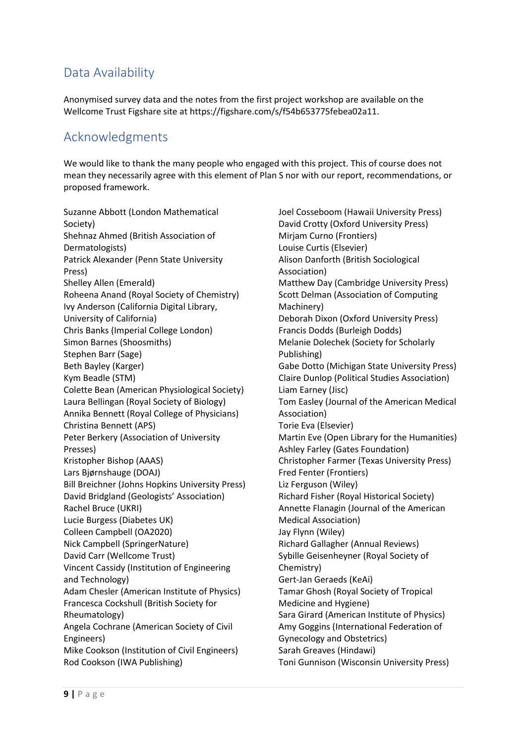# Data Availability

Anonymised survey data and the notes from the first project workshop are available on the Wellcome Trust Figshare site at [https://figshare.com/s/f54b653775febea02a11.](https://figshare.com/s/f54b653775febea02a11)

## Acknowledgments

We would like to thank the many people who engaged with this project. This of course does not mean they necessarily agree with this element of Plan S nor with our report, recommendations, or proposed framework.

Suzanne Abbott (London Mathematical Society) Shehnaz Ahmed (British Association of Dermatologists) Patrick Alexander (Penn State University Press) Shelley Allen (Emerald) Roheena Anand (Royal Society of Chemistry) Ivy Anderson (California Digital Library, University of California) Chris Banks (Imperial College London) Simon Barnes (Shoosmiths) Stephen Barr (Sage) Beth Bayley (Karger) Kym Beadle (STM) Colette Bean (American Physiological Society) Laura Bellingan (Royal Society of Biology) Annika Bennett (Royal College of Physicians) Christina Bennett (APS) Peter Berkery (Association of University Presses) Kristopher Bishop (AAAS) Lars Bjørnshauge (DOAJ) Bill Breichner (Johns Hopkins University Press) David Bridgland (Geologists' Association) Rachel Bruce (UKRI) Lucie Burgess (Diabetes UK) Colleen Campbell (OA2020) Nick Campbell (SpringerNature) David Carr (Wellcome Trust) Vincent Cassidy (Institution of Engineering and Technology) Adam Chesler (American Institute of Physics) Francesca Cockshull (British Society for Rheumatology) Angela Cochrane (American Society of Civil Engineers) Mike Cookson (Institution of Civil Engineers) Rod Cookson (IWA Publishing)

Joel Cosseboom (Hawaii University Press) David Crotty (Oxford University Press) Mirjam Curno (Frontiers) Louise Curtis (Elsevier) Alison Danforth (British Sociological Association) Matthew Day (Cambridge University Press) Scott Delman (Association of Computing Machinery) Deborah Dixon (Oxford University Press) Francis Dodds (Burleigh Dodds) Melanie Dolechek (Society for Scholarly Publishing) Gabe Dotto (Michigan State University Press) Claire Dunlop (Political Studies Association) Liam Earney (Jisc) Tom Easley (Journal of the American Medical Association) Torie Eva (Elsevier) Martin Eve (Open Library for the Humanities) Ashley Farley (Gates Foundation) Christopher Farmer (Texas University Press) Fred Fenter (Frontiers) Liz Ferguson (Wiley) Richard Fisher (Royal Historical Society) Annette Flanagin (Journal of the American Medical Association) Jay Flynn (Wiley) Richard Gallagher (Annual Reviews) Sybille Geisenheyner (Royal Society of Chemistry) Gert-Jan Geraeds (KeAi) Tamar Ghosh (Royal Society of Tropical Medicine and Hygiene) Sara Girard (American Institute of Physics) Amy Goggins (International Federation of Gynecology and Obstetrics) Sarah Greaves (Hindawi) Toni Gunnison (Wisconsin University Press)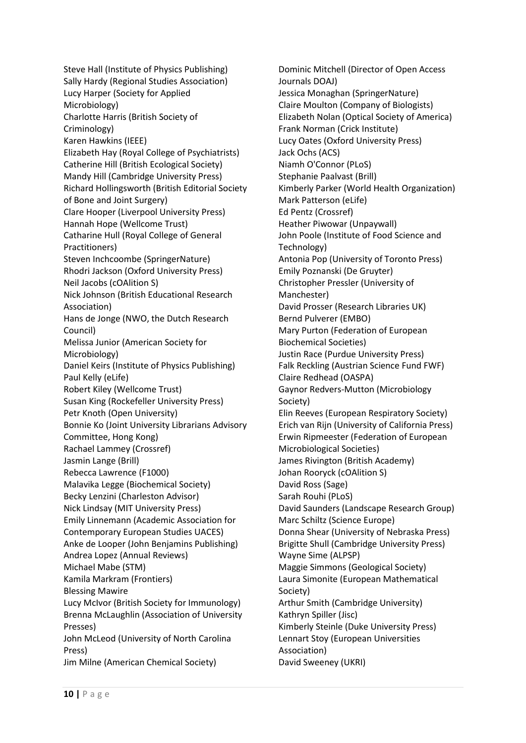Steve Hall (Institute of Physics Publishing) Sally Hardy (Regional Studies Association) Lucy Harper (Society for Applied Microbiology) Charlotte Harris (British Society of Criminology) Karen Hawkins (IEEE) Elizabeth Hay (Royal College of Psychiatrists) Catherine Hill (British Ecological Society) Mandy Hill (Cambridge University Press) Richard Hollingsworth (British Editorial Society of Bone and Joint Surgery) Clare Hooper (Liverpool University Press) Hannah Hope (Wellcome Trust) Catharine Hull (Royal College of General Practitioners) Steven Inchcoombe (SpringerNature) Rhodri Jackson (Oxford University Press) Neil Jacobs (cOAlition S) Nick Johnson (British Educational Research Association) Hans de Jonge (NWO, the Dutch Research Council) Melissa Junior (American Society for Microbiology) Daniel Keirs (Institute of Physics Publishing) Paul Kelly (eLife) Robert Kiley (Wellcome Trust) Susan King (Rockefeller University Press) Petr Knoth (Open University) Bonnie Ko (Joint University Librarians Advisory Committee, Hong Kong) Rachael Lammey (Crossref) Jasmin Lange (Brill) Rebecca Lawrence (F1000) Malavika Legge (Biochemical Society) Becky Lenzini (Charleston Advisor) Nick Lindsay (MIT University Press) Emily Linnemann (Academic Association for Contemporary European Studies UACES) Anke de Looper (John Benjamins Publishing) Andrea Lopez (Annual Reviews) Michael Mabe (STM) Kamila Markram (Frontiers) Blessing Mawire Lucy McIvor (British Society for Immunology) Brenna McLaughlin (Association of University Presses) John McLeod (University of North Carolina Press) Jim Milne (American Chemical Society)

Dominic Mitchell (Director of Open Access Journals DOAJ) Jessica Monaghan (SpringerNature) Claire Moulton (Company of Biologists) Elizabeth Nolan (Optical Society of America) Frank Norman (Crick Institute) Lucy Oates (Oxford University Press) Jack Ochs (ACS) Niamh O'Connor (PLoS) Stephanie Paalvast (Brill) Kimberly Parker (World Health Organization) Mark Patterson (eLife) Ed Pentz (Crossref) Heather Piwowar (Unpaywall) John Poole (Institute of Food Science and Technology) Antonia Pop (University of Toronto Press) Emily Poznanski (De Gruyter) Christopher Pressler (University of Manchester) David Prosser (Research Libraries UK) Bernd Pulverer (EMBO) Mary Purton (Federation of European Biochemical Societies) Justin Race (Purdue University Press) Falk Reckling (Austrian Science Fund FWF) Claire Redhead (OASPA) Gaynor Redvers-Mutton (Microbiology Society) Elin Reeves (European Respiratory Society) Erich van Rijn (University of California Press) Erwin Ripmeester (Federation of European Microbiological Societies) James Rivington (British Academy) Johan Rooryck (cOAlition S) David Ross (Sage) Sarah Rouhi (PLoS) David Saunders (Landscape Research Group) Marc Schiltz (Science Europe) Donna Shear (University of Nebraska Press) Brigitte Shull (Cambridge University Press) Wayne Sime (ALPSP) Maggie Simmons (Geological Society) Laura Simonite (European Mathematical Society) Arthur Smith (Cambridge University) Kathryn Spiller (Jisc) Kimberly Steinle (Duke University Press) Lennart Stoy (European Universities Association) David Sweeney (UKRI)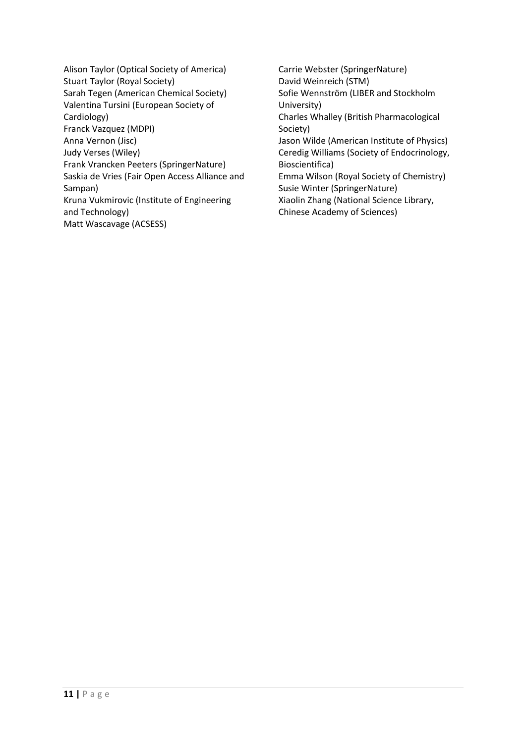- Alison Taylor (Optical Society of America) Stuart Taylor (Royal Society) Sarah Tegen (American Chemical Society) Valentina Tursini (European Society of Cardiology) Franck Vazquez (MDPI) Anna Vernon (Jisc) Judy Verses (Wiley) Frank Vrancken Peeters (SpringerNature) Saskia de Vries (Fair Open Access Alliance and Sampan) Kruna Vukmirovic (Institute of Engineering and Technology) Matt Wascavage (ACSESS)
- Carrie Webster (SpringerNature) David Weinreich (STM) Sofie Wennström (LIBER and Stockholm University) Charles Whalley (British Pharmacological Society) Jason Wilde (American Institute of Physics) Ceredig Williams (Society of Endocrinology, Bioscientifica) Emma Wilson (Royal Society of Chemistry) Susie Winter (SpringerNature) Xiaolin Zhang (National Science Library, Chinese Academy of Sciences)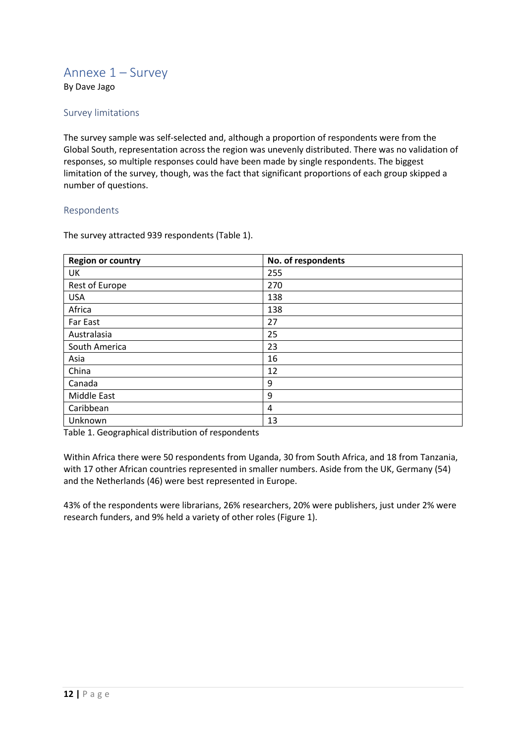## Annexe 1 – Survey

By Dave Jago

## Survey limitations

The survey sample was self-selected and, although a proportion of respondents were from the Global South, representation across the region was unevenly distributed. There was no validation of responses, so multiple responses could have been made by single respondents. The biggest limitation of the survey, though, was the fact that significant proportions of each group skipped a number of questions.

## Respondents

The survey attracted 939 respondents (Table 1).

| <b>Region or country</b> | No. of respondents |
|--------------------------|--------------------|
| UK                       | 255                |
| Rest of Europe           | 270                |
| <b>USA</b>               | 138                |
| Africa                   | 138                |
| <b>Far East</b>          | 27                 |
| Australasia              | 25                 |
| South America            | 23                 |
| Asia                     | 16                 |
| China                    | 12                 |
| Canada                   | 9                  |
| <b>Middle East</b>       | 9                  |
| Caribbean                | 4                  |
| Unknown                  | 13                 |

Table 1. Geographical distribution of respondents

Within Africa there were 50 respondents from Uganda, 30 from South Africa, and 18 from Tanzania, with 17 other African countries represented in smaller numbers. Aside from the UK, Germany (54) and the Netherlands (46) were best represented in Europe.

43% of the respondents were librarians, 26% researchers, 20% were publishers, just under 2% were research funders, and 9% held a variety of other roles (Figure 1).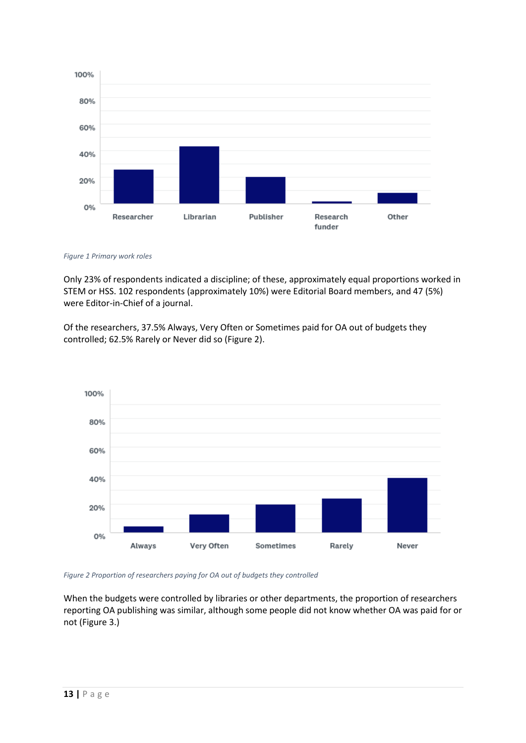

*Figure 1 Primary work roles*

Only 23% of respondents indicated a discipline; of these, approximately equal proportions worked in STEM or HSS. 102 respondents (approximately 10%) were Editorial Board members, and 47 (5%) were Editor-in-Chief of a journal.

Of the researchers, 37.5% Always, Very Often or Sometimes paid for OA out of budgets they controlled; 62.5% Rarely or Never did so (Figure 2).



*Figure 2 Proportion of researchers paying for OA out of budgets they controlled*

When the budgets were controlled by libraries or other departments, the proportion of researchers reporting OA publishing was similar, although some people did not know whether OA was paid for or not (Figure 3.)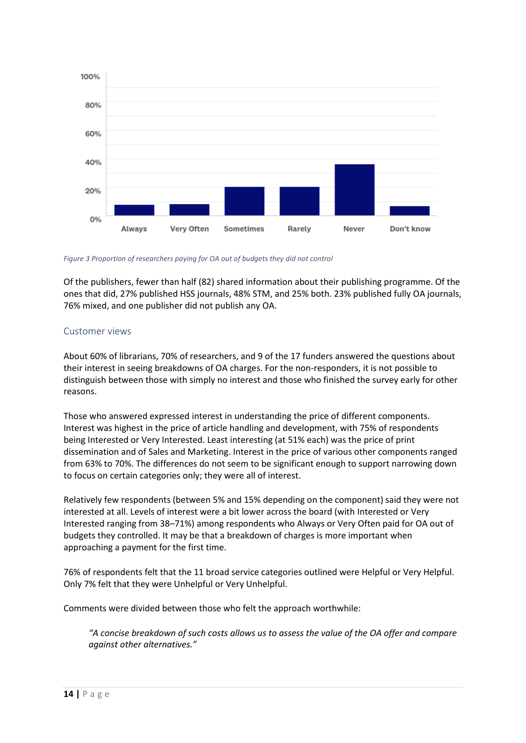

*Figure 3 Proportion of researchers paying for OA out of budgets they did not control*

Of the publishers, fewer than half (82) shared information about their publishing programme. Of the ones that did, 27% published HSS journals, 48% STM, and 25% both. 23% published fully OA journals, 76% mixed, and one publisher did not publish any OA.

## Customer views

About 60% of librarians, 70% of researchers, and 9 of the 17 funders answered the questions about their interest in seeing breakdowns of OA charges. For the non-responders, it is not possible to distinguish between those with simply no interest and those who finished the survey early for other reasons.

Those who answered expressed interest in understanding the price of different components. Interest was highest in the price of article handling and development, with 75% of respondents being Interested or Very Interested. Least interesting (at 51% each) was the price of print dissemination and of Sales and Marketing. Interest in the price of various other components ranged from 63% to 70%. The differences do not seem to be significant enough to support narrowing down to focus on certain categories only; they were all of interest.

Relatively few respondents (between 5% and 15% depending on the component) said they were not interested at all. Levels of interest were a bit lower across the board (with Interested or Very Interested ranging from 38–71%) among respondents who Always or Very Often paid for OA out of budgets they controlled. It may be that a breakdown of charges is more important when approaching a payment for the first time.

76% of respondents felt that the 11 broad service categories outlined were Helpful or Very Helpful. Only 7% felt that they were Unhelpful or Very Unhelpful.

Comments were divided between those who felt the approach worthwhile:

*"A concise breakdown of such costs allows us to assess the value of the OA offer and compare against other alternatives."*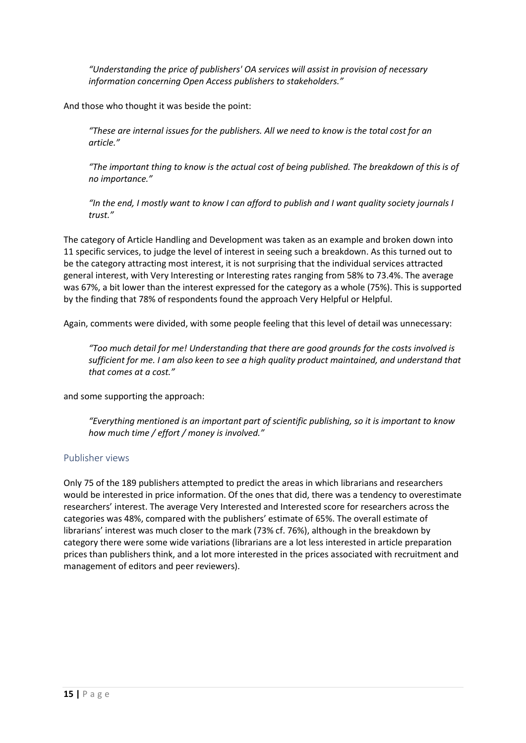*"Understanding the price of publishers' OA services will assist in provision of necessary information concerning Open Access publishers to stakeholders."*

And those who thought it was beside the point:

*"These are internal issues for the publishers. All we need to know is the total cost for an article."*

*"The important thing to know is the actual cost of being published. The breakdown of this is of no importance."*

*"In the end, I mostly want to know I can afford to publish and I want quality society journals I trust."*

The category of Article Handling and Development was taken as an example and broken down into 11 specific services, to judge the level of interest in seeing such a breakdown. As this turned out to be the category attracting most interest, it is not surprising that the individual services attracted general interest, with Very Interesting or Interesting rates ranging from 58% to 73.4%. The average was 67%, a bit lower than the interest expressed for the category as a whole (75%). This is supported by the finding that 78% of respondents found the approach Very Helpful or Helpful.

Again, comments were divided, with some people feeling that this level of detail was unnecessary:

*"Too much detail for me! Understanding that there are good grounds for the costs involved is sufficient for me. I am also keen to see a high quality product maintained, and understand that that comes at a cost."*

and some supporting the approach:

*"Everything mentioned is an important part of scientific publishing, so it is important to know how much time / effort / money is involved."*

#### Publisher views

Only 75 of the 189 publishers attempted to predict the areas in which librarians and researchers would be interested in price information. Of the ones that did, there was a tendency to overestimate researchers' interest. The average Very Interested and Interested score for researchers across the categories was 48%, compared with the publishers' estimate of 65%. The overall estimate of librarians' interest was much closer to the mark (73% cf. 76%), although in the breakdown by category there were some wide variations (librarians are a lot less interested in article preparation prices than publishers think, and a lot more interested in the prices associated with recruitment and management of editors and peer reviewers).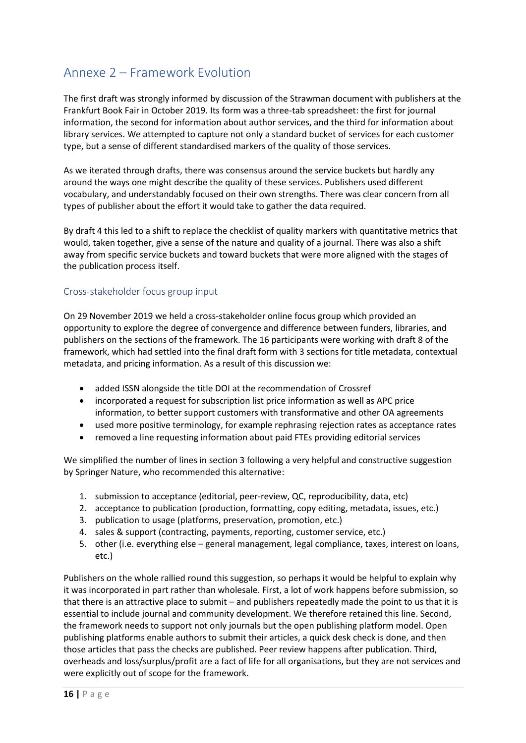# Annexe 2 – Framework Evolution

The first draft was strongly informed by discussion of the Strawman document with publishers at the Frankfurt Book Fair in October 2019. Its form was a three-tab spreadsheet: the first for journal information, the second for information about author services, and the third for information about library services. We attempted to capture not only a standard bucket of services for each customer type, but a sense of different standardised markers of the quality of those services.

As we iterated through drafts, there was consensus around the service buckets but hardly any around the ways one might describe the quality of these services. Publishers used different vocabulary, and understandably focused on their own strengths. There was clear concern from all types of publisher about the effort it would take to gather the data required.

By draft 4 this led to a shift to replace the checklist of quality markers with quantitative metrics that would, taken together, give a sense of the nature and quality of a journal. There was also a shift away from specific service buckets and toward buckets that were more aligned with the stages of the publication process itself.

## Cross-stakeholder focus group input

On 29 November 2019 we held a cross-stakeholder online focus group which provided an opportunity to explore the degree of convergence and difference between funders, libraries, and publishers on the sections of the framework. The 16 participants were working with draft 8 of the framework, which had settled into the final draft form with 3 sections for title metadata, contextual metadata, and pricing information. As a result of this discussion we:

- added ISSN alongside the title DOI at the recommendation of Crossref
- incorporated a request for subscription list price information as well as APC price information, to better support customers with transformative and other OA agreements
- used more positive terminology, for example rephrasing rejection rates as acceptance rates
- removed a line requesting information about paid FTEs providing editorial services

We simplified the number of lines in section 3 following a very helpful and constructive suggestion by Springer Nature, who recommended this alternative:

- 1. submission to acceptance (editorial, peer-review, QC, reproducibility, data, etc)
- 2. acceptance to publication (production, formatting, copy editing, metadata, issues, etc.)
- 3. publication to usage (platforms, preservation, promotion, etc.)
- 4. sales & support (contracting, payments, reporting, customer service, etc.)
- 5. other (i.e. everything else general management, legal compliance, taxes, interest on loans, etc.)

Publishers on the whole rallied round this suggestion, so perhaps it would be helpful to explain why it was incorporated in part rather than wholesale. First, a lot of work happens before submission, so that there is an attractive place to submit – and publishers repeatedly made the point to us that it is essential to include journal and community development. We therefore retained this line. Second, the framework needs to support not only journals but the open publishing platform model. Open publishing platforms enable authors to submit their articles, a quick desk check is done, and then those articles that pass the checks are published. Peer review happens after publication. Third, overheads and loss/surplus/profit are a fact of life for all organisations, but they are not services and were explicitly out of scope for the framework.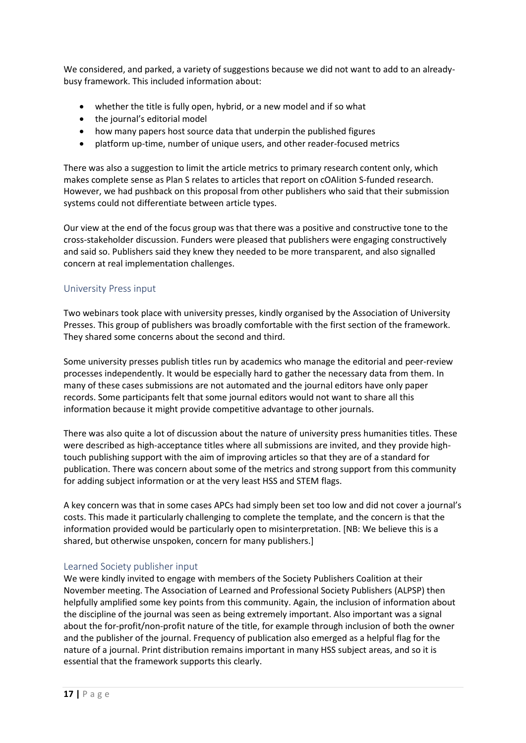We considered, and parked, a variety of suggestions because we did not want to add to an alreadybusy framework. This included information about:

- whether the title is fully open, hybrid, or a new model and if so what
- the journal's editorial model
- how many papers host source data that underpin the published figures
- platform up-time, number of unique users, and other reader-focused metrics

There was also a suggestion to limit the article metrics to primary research content only, which makes complete sense as Plan S relates to articles that report on cOAlition S-funded research. However, we had pushback on this proposal from other publishers who said that their submission systems could not differentiate between article types.

Our view at the end of the focus group was that there was a positive and constructive tone to the cross-stakeholder discussion. Funders were pleased that publishers were engaging constructively and said so. Publishers said they knew they needed to be more transparent, and also signalled concern at real implementation challenges.

## University Press input

Two webinars took place with university presses, kindly organised by the Association of University Presses. This group of publishers was broadly comfortable with the first section of the framework. They shared some concerns about the second and third.

Some university presses publish titles run by academics who manage the editorial and peer-review processes independently. It would be especially hard to gather the necessary data from them. In many of these cases submissions are not automated and the journal editors have only paper records. Some participants felt that some journal editors would not want to share all this information because it might provide competitive advantage to other journals.

There was also quite a lot of discussion about the nature of university press humanities titles. These were described as high-acceptance titles where all submissions are invited, and they provide hightouch publishing support with the aim of improving articles so that they are of a standard for publication. There was concern about some of the metrics and strong support from this community for adding subject information or at the very least HSS and STEM flags.

A key concern was that in some cases APCs had simply been set too low and did not cover a journal's costs. This made it particularly challenging to complete the template, and the concern is that the information provided would be particularly open to misinterpretation. [NB: We believe this is a shared, but otherwise unspoken, concern for many publishers.]

## Learned Society publisher input

We were kindly invited to engage with members of the Society Publishers Coalition at their November meeting. The Association of Learned and Professional Society Publishers (ALPSP) then helpfully amplified some key points from this community. Again, the inclusion of information about the discipline of the journal was seen as being extremely important. Also important was a signal about the for-profit/non-profit nature of the title, for example through inclusion of both the owner and the publisher of the journal. Frequency of publication also emerged as a helpful flag for the nature of a journal. Print distribution remains important in many HSS subject areas, and so it is essential that the framework supports this clearly.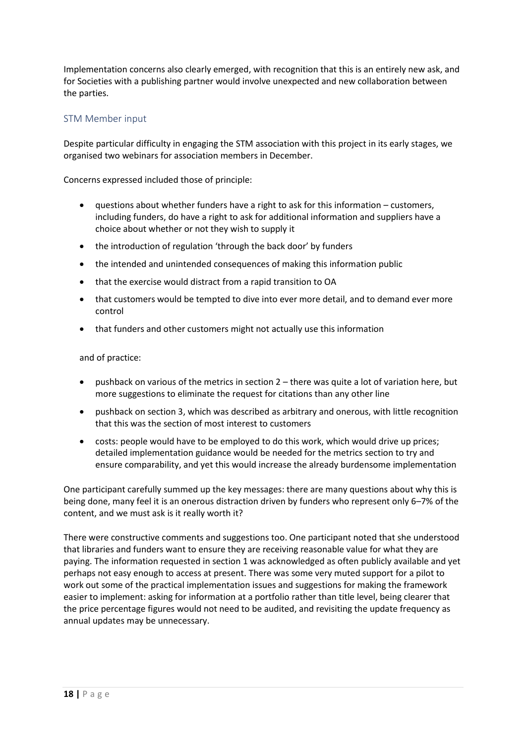Implementation concerns also clearly emerged, with recognition that this is an entirely new ask, and for Societies with a publishing partner would involve unexpected and new collaboration between the parties.

## STM Member input

Despite particular difficulty in engaging the STM association with this project in its early stages, we organised two webinars for association members in December.

Concerns expressed included those of principle:

- questions about whether funders have a right to ask for this information customers, including funders, do have a right to ask for additional information and suppliers have a choice about whether or not they wish to supply it
- the introduction of regulation 'through the back door' by funders
- the intended and unintended consequences of making this information public
- that the exercise would distract from a rapid transition to OA
- that customers would be tempted to dive into ever more detail, and to demand ever more control
- that funders and other customers might not actually use this information

and of practice:

- pushback on various of the metrics in section 2 there was quite a lot of variation here, but more suggestions to eliminate the request for citations than any other line
- pushback on section 3, which was described as arbitrary and onerous, with little recognition that this was the section of most interest to customers
- costs: people would have to be employed to do this work, which would drive up prices; detailed implementation guidance would be needed for the metrics section to try and ensure comparability, and yet this would increase the already burdensome implementation

One participant carefully summed up the key messages: there are many questions about why this is being done, many feel it is an onerous distraction driven by funders who represent only 6–7% of the content, and we must ask is it really worth it?

There were constructive comments and suggestions too. One participant noted that she understood that libraries and funders want to ensure they are receiving reasonable value for what they are paying. The information requested in section 1 was acknowledged as often publicly available and yet perhaps not easy enough to access at present. There was some very muted support for a pilot to work out some of the practical implementation issues and suggestions for making the framework easier to implement: asking for information at a portfolio rather than title level, being clearer that the price percentage figures would not need to be audited, and revisiting the update frequency as annual updates may be unnecessary.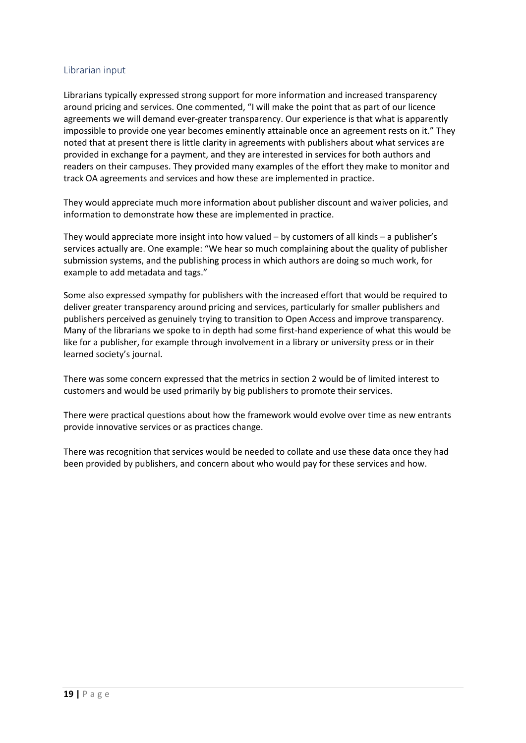## Librarian input

Librarians typically expressed strong support for more information and increased transparency around pricing and services. One commented, "I will make the point that as part of our licence agreements we will demand ever-greater transparency. Our experience is that what is apparently impossible to provide one year becomes eminently attainable once an agreement rests on it." They noted that at present there is little clarity in agreements with publishers about what services are provided in exchange for a payment, and they are interested in services for both authors and readers on their campuses. They provided many examples of the effort they make to monitor and track OA agreements and services and how these are implemented in practice.

They would appreciate much more information about publisher discount and waiver policies, and information to demonstrate how these are implemented in practice.

They would appreciate more insight into how valued – by customers of all kinds – a publisher's services actually are. One example: "We hear so much complaining about the quality of publisher submission systems, and the publishing process in which authors are doing so much work, for example to add metadata and tags."

Some also expressed sympathy for publishers with the increased effort that would be required to deliver greater transparency around pricing and services, particularly for smaller publishers and publishers perceived as genuinely trying to transition to Open Access and improve transparency. Many of the librarians we spoke to in depth had some first-hand experience of what this would be like for a publisher, for example through involvement in a library or university press or in their learned society's journal.

There was some concern expressed that the metrics in section 2 would be of limited interest to customers and would be used primarily by big publishers to promote their services.

There were practical questions about how the framework would evolve over time as new entrants provide innovative services or as practices change.

There was recognition that services would be needed to collate and use these data once they had been provided by publishers, and concern about who would pay for these services and how.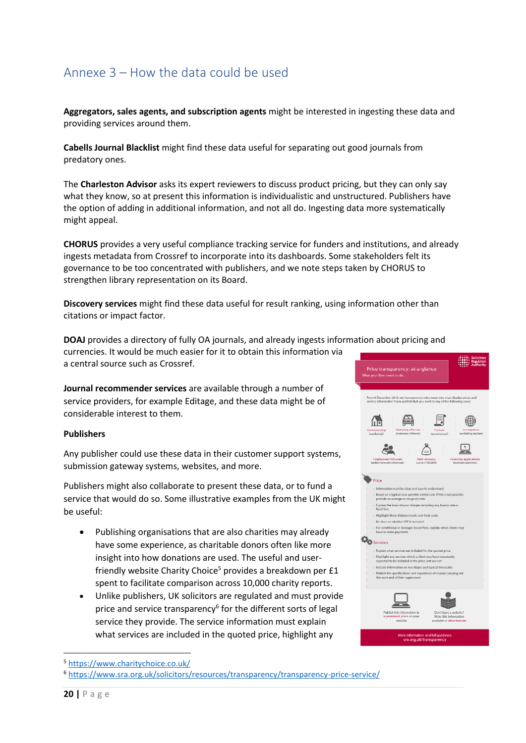# Annexe 3 – How the data could be used

**Aggregators, sales agents, and subscription agents** might be interested in ingesting these data and providing services around them.

**Cabells Journal Blacklist** might find these data useful for separating out good journals from predatory ones.

The **Charleston Advisor** asks its expert reviewers to discuss product pricing, but they can only say what they know, so at present this information is individualistic and unstructured. Publishers have the option of adding in additional information, and not all do. Ingesting data more systematically might appeal.

**CHORUS** provides a very useful compliance tracking service for funders and institutions, and already ingests metadata from Crossref to incorporate into its dashboards. Some stakeholders felt its governance to be too concentrated with publishers, and we note steps taken by CHORUS to strengthen library representation on its Board.

**Discovery services** might find these data useful for result ranking, using information other than citations or impact factor.

**DOAJ** provides a directory of fully OA journals, and already ingests information about pricing and

currencies. It would be much easier for it to obtain this information via a central source such as Crossref.

**Journal recommender services** are available through a number of service providers, for example Editage, and these data might be of considerable interest to them.

#### **Publishers**

Any publisher could use these data in their customer support systems, submission gateway systems, websites, and more.

Publishers might also collaborate to present these data, or to fund a service that would do so. Some illustrative examples from the UK might be useful:

- Publishing organisations that are also charities may already have some experience, as charitable donors often like more insight into how donations are used. The useful and userfriendly website Charity Choice<sup>5</sup> provides a breakdown per £1 spent to facilitate comparison across 10,000 charity reports.
- Unlike publishers, UK solicitors are regulated and must provide price and service transparency<sup>6</sup> for the different sorts of legal service they provide. The service information must explain what services are included in the quoted price, highlight any

<sup>:::::</sup> Solicitor<br>::::: Regulatio<br>::::: Authorit Price transparency: at-a-glance From 6 December 2018, our transparency rules mean you must display prices and<br>service information if you publish that you work in any of the following areas: 全 ങ∰ 血 Based on a typical case, provide a total cost. If this is r<br>provide an average or range of costs provide an average or range or costs<br>Explain the basis of your charges incl<br>fixed fees ighlight likely disbu Be clear on whether VAT is included For conditional or damages-based fees, explain when clients may<br>have to make payments **O** Services Explain what services are included for the quoted price .<br>Highlight any services which a client may have re<br>expected to be included in the price, but are not nclude Information on key stages and typical ti Publish the qualifications and experience of anyone carrying out<br>the work and of their supervisors

<sup>5</sup> <https://www.charitychoice.co.uk/>

<sup>6</sup> <https://www.sra.org.uk/solicitors/resources/transparency/transparency-price-service/>